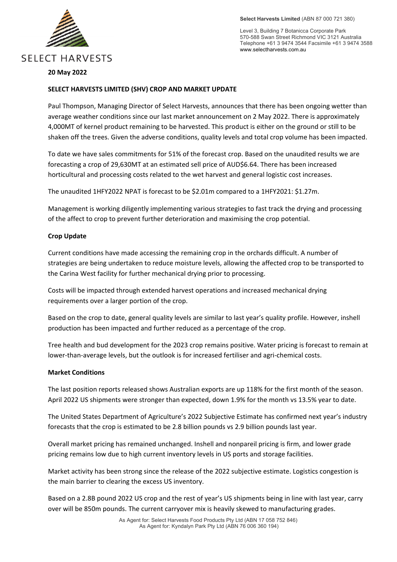

Level 3, Building 7 Botanicca Corporate Park 570-588 Swan Street Richmond VIC 3121 Australia Telephone +61 3 9474 3544 Facsimile +61 3 9474 3588 www.selectharvests.com.au

# **20 May 2022**

#### **SELECT HARVESTS LIMITED (SHV) CROP AND MARKET UPDATE**

Paul Thompson, Managing Director of Select Harvests, announces that there has been ongoing wetter than average weather conditions since our last market announcement on 2 May 2022. There is approximately 4,000MT of kernel product remaining to be harvested. This product is either on the ground or still to be shaken off the trees. Given the adverse conditions, quality levels and total crop volume has been impacted.

To date we have sales commitments for 51% of the forecast crop. Based on the unaudited results we are forecasting a crop of 29,630MT at an estimated sell price of AUD\$6.64. There has been increased horticultural and processing costs related to the wet harvest and general logistic cost increases.

The unaudited 1HFY2022 NPAT is forecast to be \$2.01m compared to a 1HFY2021: \$1.27m.

Management is working diligently implementing various strategies to fast track the drying and processing of the affect to crop to prevent further deterioration and maximising the crop potential.

# **Crop Update**

Current conditions have made accessing the remaining crop in the orchards difficult. A number of strategies are being undertaken to reduce moisture levels, allowing the affected crop to be transported to the Carina West facility for further mechanical drying prior to processing.

Costs will be impacted through extended harvest operations and increased mechanical drying requirements over a larger portion of the crop.

Based on the crop to date, general quality levels are similar to last year's quality profile. However, inshell production has been impacted and further reduced as a percentage of the crop.

Tree health and bud development for the 2023 crop remains positive. Water pricing is forecast to remain at lower-than-average levels, but the outlook is for increased fertiliser and agri-chemical costs.

# **Market Conditions**

The last position reports released shows Australian exports are up 118% for the first month of the season. April 2022 US shipments were stronger than expected, down 1.9% for the month vs 13.5% year to date.

The United States Department of Agriculture's 2022 Subjective Estimate has confirmed next year's industry forecasts that the crop is estimated to be 2.8 billion pounds vs 2.9 billion pounds last year.

Overall market pricing has remained unchanged. Inshell and nonpareil pricing is firm, and lower grade pricing remains low due to high current inventory levels in US ports and storage facilities.

Market activity has been strong since the release of the 2022 subjective estimate. Logistics congestion is the main barrier to clearing the excess US inventory.

Based on a 2.8B pound 2022 US crop and the rest of year's US shipments being in line with last year, carry over will be 850m pounds. The current carryover mix is heavily skewed to manufacturing grades.